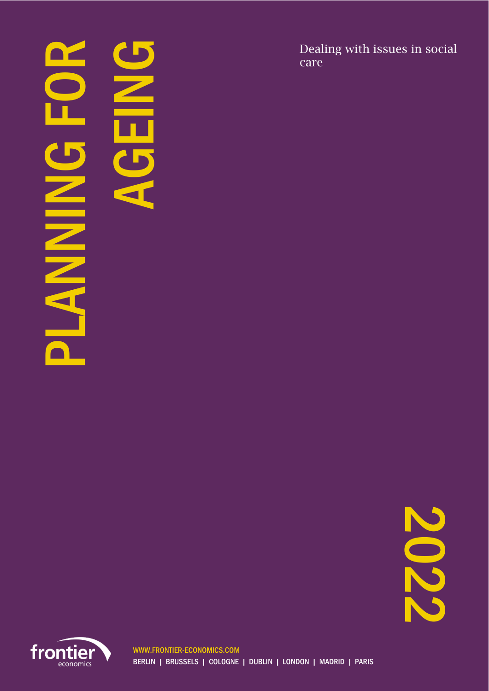# PLANING FOR **MANAS**

AGEING

Dealing with issues in social care

2022

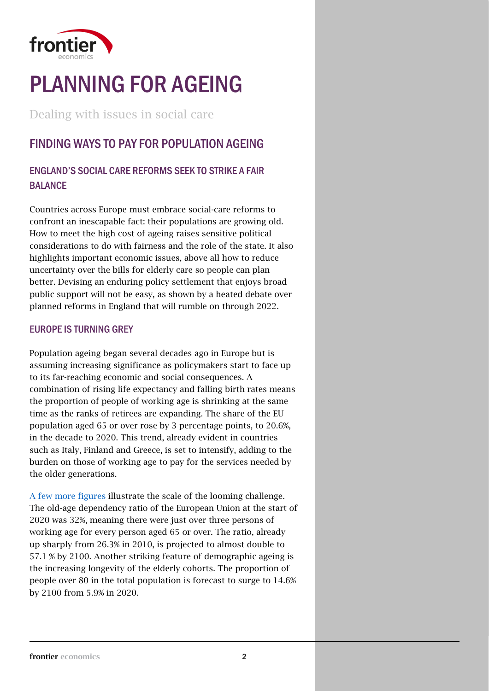

# PLANNING FOR AGEING

Dealing with issues in social care

# FINDING WAYS TO PAY FOR POPULATION AGEING

### ENGLAND'S SOCIAL CARE REFORMS SEEK TO STRIKE A FAIR BALANCE

Countries across Europe must embrace social-care reforms to confront an inescapable fact: their populations are growing old. How to meet the high cost of ageing raises sensitive political considerations to do with fairness and the role of the state. It also highlights important economic issues, above all how to reduce uncertainty over the bills for elderly care so people can plan better. Devising an enduring policy settlement that enjoys broad public support will not be easy, as shown by a heated debate over planned reforms in England that will rumble on through 2022.

#### EUROPE IS TURNING GREY

Population ageing began several decades ago in Europe but is assuming increasing significance as policymakers start to face up to its far-reaching economic and social consequences. A combination of rising life expectancy and falling birth rates means the proportion of people of working age is shrinking at the same time as the ranks of retirees are expanding. The share of the EU population aged 65 or over rose by 3 percentage points, to 20.6%, in the decade to 2020. This trend, already evident in countries such as Italy, Finland and Greece, is set to intensify, adding to the burden on those of working age to pay for the services needed by the older generations.

[A few more figures](https://ec.europa.eu/eurostat/statistics-explained/index.php?title=Population_structure_and_ageing#The_share_of_elderly_people_continues_to_increase) illustrate the scale of the looming challenge. The old-age dependency ratio of the European Union at the start of 2020 was 32%, meaning there were just over three persons of working age for every person aged 65 or over. The ratio, already up sharply from 26.3% in 2010, is projected to almost double to 57.1 % by 2100. Another striking feature of demographic ageing is the increasing longevity of the elderly cohorts. The proportion of people over 80 in the total population is forecast to surge to 14.6% by 2100 from 5.9% in 2020.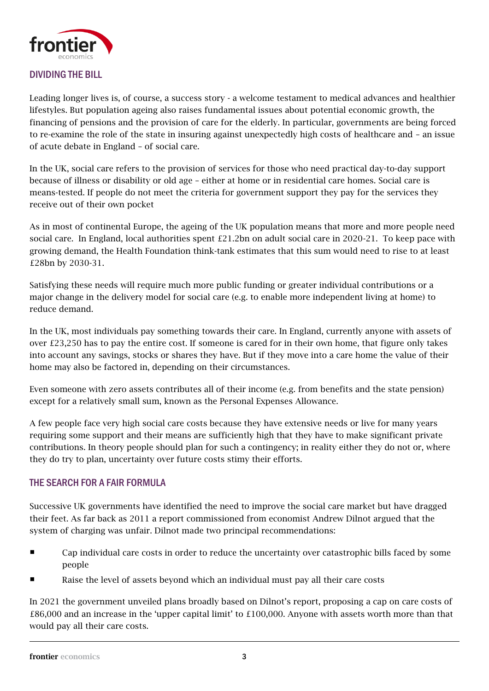

#### DIVIDING THE BILL

Leading longer lives is, of course, a success story - a welcome testament to medical advances and healthier lifestyles. But population ageing also raises fundamental issues about potential economic growth, the financing of pensions and the provision of care for the elderly. In particular, governments are being forced to re-examine the role of the state in insuring against unexpectedly high costs of healthcare and – an issue of acute debate in England – of social care.

In the UK, social care refers to the provision of services for those who need practical day-to-day support because of illness or disability or old age – either at home or in residential care homes. Social care is means-tested. If people do not meet the criteria for government support they pay for the services they receive out of their own pocket

As in most of continental Europe, the ageing of the UK population means that more and more people need social care. In England, local authorities spent  $E21.2$ bn on adult social care in 2020-21. To keep pace with growing demand, the Health Foundation think-tank estimates that this sum would need to rise to at least £28bn by 2030-31.

Satisfying these needs will require much more public funding or greater individual contributions or a major change in the delivery model for social care (e.g. to enable more independent living at home) to reduce demand.

In the UK, most individuals pay something towards their care. In England, currently anyone with assets of over £23,250 has to pay the entire cost. If someone is cared for in their own home, that figure only takes into account any savings, stocks or shares they have. But if they move into a care home the value of their home may also be factored in, depending on their circumstances.

Even someone with zero assets contributes all of their income (e.g. from benefits and the state pension) except for a relatively small sum, known as the Personal Expenses Allowance.

A few people face very high social care costs because they have extensive needs or live for many years requiring some support and their means are sufficiently high that they have to make significant private contributions. In theory people should plan for such a contingency; in reality either they do not or, where they do try to plan, uncertainty over future costs stimy their efforts.

#### THE SEARCH FOR A FAIR FORMULA

Successive UK governments have identified the need to improve the social care market but have dragged their feet. As far back as 2011 a report commissioned from economist Andrew Dilnot argued that the system of charging was unfair. Dilnot made two principal recommendations:

- **EXECT** Cap individual care costs in order to reduce the uncertainty over catastrophic bills faced by some people
- Raise the level of assets beyond which an individual must pay all their care costs

In 2021 the government unveiled plans broadly based on Dilnot's report, proposing a cap on care costs of £86,000 and an increase in the 'upper capital limit' to £100,000. Anyone with assets worth more than that would pay all their care costs.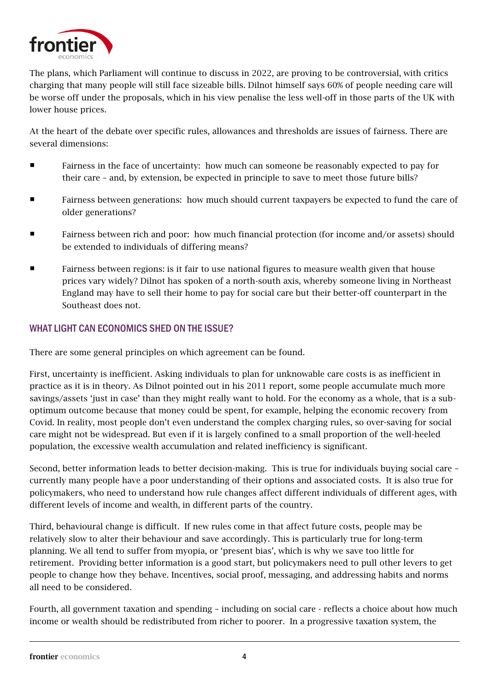

The plans, which Parliament will continue to discuss in 2022, are proving to be controversial, with critics charging that many people will still face sizeable bills. Dilnot himself says 60% of people needing care will be worse off under the proposals, which in his view penalise the less well-off in those parts of the UK with lower house prices.

At the heart of the debate over specific rules, allowances and thresholds are issues of fairness. There are several dimensions:

- **Fairness in the face of uncertainty: how much can someone be reasonably expected to pay for** their care – and, by extension, be expected in principle to save to meet those future bills?
- **Fairness between generations: how much should current taxpayers be expected to fund the care of** older generations?
- **Fairness between rich and poor: how much financial protection (for income and/or assets) should** be extended to individuals of differing means?
- Fairness between regions: is it fair to use national figures to measure wealth given that house prices vary widely? Dilnot has spoken of a north-south axis, whereby someone living in Northeast England may have to sell their home to pay for social care but their better-off counterpart in the Southeast does not.

#### WHAT LIGHT CAN ECONOMICS SHED ON THE ISSUE?

There are some general principles on which agreement can be found.

First, uncertainty is inefficient. Asking individuals to plan for unknowable care costs is as inefficient in practice as it is in theory. As Dilnot pointed out in his 2011 report, some people accumulate much more savings/assets 'just in case' than they might really want to hold. For the economy as a whole, that is a suboptimum outcome because that money could be spent, for example, helping the economic recovery from Covid. In reality, most people don't even understand the complex charging rules, so over-saving for social care might not be widespread. But even if it is largely confined to a small proportion of the well-heeled population, the excessive wealth accumulation and related inefficiency is significant.

Second, better information leads to better decision-making. This is true for individuals buying social care – currently many people have a poor understanding of their options and associated costs. It is also true for policymakers, who need to understand how rule changes affect different individuals of different ages, with different levels of income and wealth, in different parts of the country.

Third, behavioural change is difficult. If new rules come in that affect future costs, people may be relatively slow to alter their behaviour and save accordingly. This is particularly true for long-term planning. We all tend to suffer from myopia, or 'present bias', which is why we save too little for retirement. Providing better information is a good start, but policymakers need to pull other levers to get people to change how they behave. Incentives, social proof, messaging, and addressing habits and norms all need to be considered.

Fourth, all government taxation and spending – including on social care - reflects a choice about how much income or wealth should be redistributed from richer to poorer. In a progressive taxation system, the